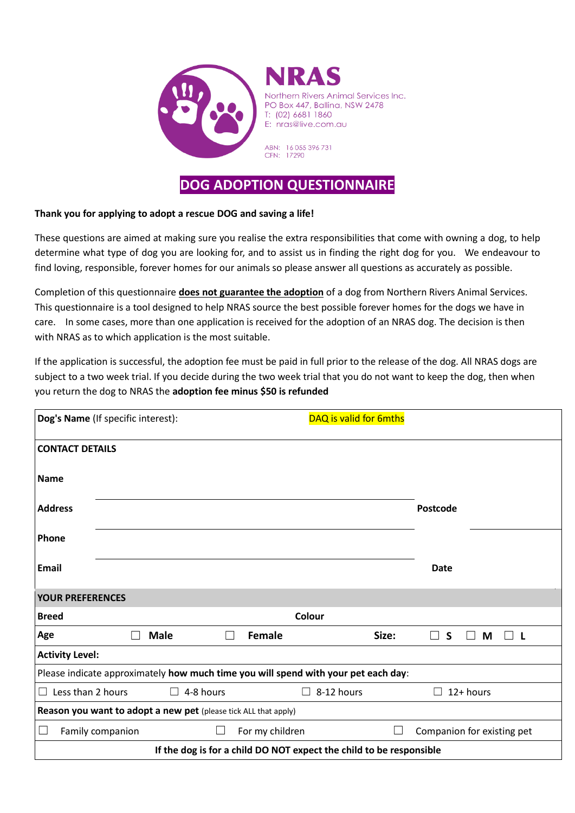

## **DOG ADOPTION QUESTIONNAIRE**

## **Thank you for applying to adopt a rescue DOG and saving a life!**

These questions are aimed at making sure you realise the extra responsibilities that come with owning a dog, to help determine what type of dog you are looking for, and to assist us in finding the right dog for you. We endeavour to find loving, responsible, forever homes for our animals so please answer all questions as accurately as possible.

Completion of this questionnaire **does not guarantee the adoption** of a dog from Northern Rivers Animal Services. This questionnaire is a tool designed to help NRAS source the best possible forever homes for the dogs we have in care. In some cases, more than one application is received for the adoption of an NRAS dog. The decision is then with NRAS as to which application is the most suitable.

If the application is successful, the adoption fee must be paid in full prior to the release of the dog. All NRAS dogs are subject to a two week trial. If you decide during the two week trial that you do not want to keep the dog, then when you return the dog to NRAS the **adoption fee minus \$50 is refunded**

| Dog's Name (If specific interest):                                                 |                               |           |                 | DAQ is valid for 6mths |       |                                    |  |  |  |  |  |
|------------------------------------------------------------------------------------|-------------------------------|-----------|-----------------|------------------------|-------|------------------------------------|--|--|--|--|--|
| <b>CONTACT DETAILS</b>                                                             |                               |           |                 |                        |       |                                    |  |  |  |  |  |
| <b>Name</b>                                                                        |                               |           |                 |                        |       |                                    |  |  |  |  |  |
| <b>Address</b>                                                                     |                               |           |                 |                        |       | <b>Postcode</b>                    |  |  |  |  |  |
| Phone                                                                              |                               |           |                 |                        |       |                                    |  |  |  |  |  |
| <b>Email</b>                                                                       |                               |           |                 |                        |       | <b>Date</b>                        |  |  |  |  |  |
| <b>YOUR PREFERENCES</b>                                                            |                               |           |                 |                        |       |                                    |  |  |  |  |  |
| <b>Breed</b>                                                                       |                               |           |                 | Colour                 |       |                                    |  |  |  |  |  |
| Age                                                                                | <b>Male</b><br>$\blacksquare$ |           | <b>Female</b>   |                        | Size: | $\mathsf{s}$<br>M<br>$\Box$<br>- L |  |  |  |  |  |
| <b>Activity Level:</b>                                                             |                               |           |                 |                        |       |                                    |  |  |  |  |  |
| Please indicate approximately how much time you will spend with your pet each day: |                               |           |                 |                        |       |                                    |  |  |  |  |  |
| Less than 2 hours<br>$\Box$                                                        |                               | 4-8 hours |                 | $\Box$ 8-12 hours      |       | 12+ hours                          |  |  |  |  |  |
| Reason you want to adopt a new pet (please tick ALL that apply)                    |                               |           |                 |                        |       |                                    |  |  |  |  |  |
| Family companion                                                                   |                               | ⊔         | For my children |                        |       | Companion for existing pet         |  |  |  |  |  |
| If the dog is for a child DO NOT expect the child to be responsible                |                               |           |                 |                        |       |                                    |  |  |  |  |  |